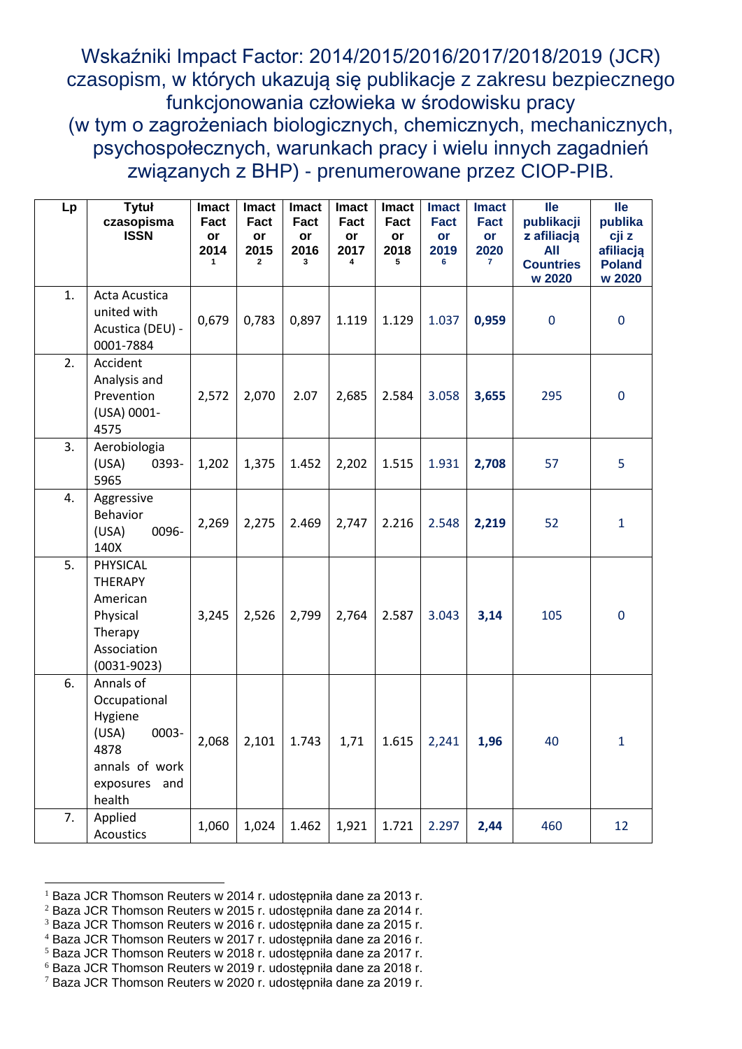Wskaźniki Impact Factor: 2014/2015/2016/2017/2018/2019 (JCR) czasopism, w których ukazują się publikacje z zakresu bezpiecznego funkcjonowania człowieka w środowisku pracy (w tym o zagrożeniach biologicznych, chemicznych, mechanicznych, psychospołecznych, warunkach pracy i wielu innych zagadnień związanych z BHP) - prenumerowane przez CIOP-PIB.

| Lp | <b>Tytuł</b><br>czasopisma<br><b>ISSN</b>                                                                   | <b>Imact</b><br>Fact<br>or<br>2014<br>$\mathbf{1}$ | <b>Imact</b><br>Fact<br>or<br>2015<br>$\mathbf{2}$ | <b>Imact</b><br>Fact<br>or<br>2016<br>3 | <b>Imact</b><br>Fact<br>or<br>2017<br>4 | <b>Imact</b><br>Fact<br>or<br>2018<br>5 | <b>Imact</b><br><b>Fact</b><br>or<br>2019<br>6 | <b>Imact</b><br><b>Fact</b><br>or<br>2020<br>7 | <b>lle</b><br>publikacji<br>z afiliacją<br>All<br><b>Countries</b><br>w 2020 | <b>lle</b><br>publika<br>cji z<br>afiliacją<br><b>Poland</b><br>w 2020 |
|----|-------------------------------------------------------------------------------------------------------------|----------------------------------------------------|----------------------------------------------------|-----------------------------------------|-----------------------------------------|-----------------------------------------|------------------------------------------------|------------------------------------------------|------------------------------------------------------------------------------|------------------------------------------------------------------------|
| 1. | Acta Acustica<br>united with<br>Acustica (DEU) -<br>0001-7884                                               | 0,679                                              | 0,783                                              | 0,897                                   | 1.119                                   | 1.129                                   | 1.037                                          | 0,959                                          | $\mathbf 0$                                                                  | $\overline{0}$                                                         |
| 2. | Accident<br>Analysis and<br>Prevention<br>(USA) 0001-<br>4575                                               | 2,572                                              | 2,070                                              | 2.07                                    | 2,685                                   | 2.584                                   | 3.058                                          | 3,655                                          | 295                                                                          | $\mathbf 0$                                                            |
| 3. | Aerobiologia<br>(USA)<br>0393-<br>5965                                                                      | 1,202                                              | 1,375                                              | 1.452                                   | 2,202                                   | 1.515                                   | 1.931                                          | 2,708                                          | 57                                                                           | 5                                                                      |
| 4. | Aggressive<br>Behavior<br>0096-<br>(USA)<br>140X                                                            | 2,269                                              | 2,275                                              | 2.469                                   | 2,747                                   | 2.216                                   | 2.548                                          | 2,219                                          | 52                                                                           | $\mathbf{1}$                                                           |
| 5. | PHYSICAL<br><b>THERAPY</b><br>American<br>Physical<br>Therapy<br>Association<br>$(0031 - 9023)$             | 3,245                                              | 2,526                                              | 2,799                                   | 2,764                                   | 2.587                                   | 3.043                                          | 3,14                                           | 105                                                                          | $\mathbf 0$                                                            |
| 6. | Annals of<br>Occupational<br>Hygiene<br>(USA)<br>0003-<br>4878<br>annals of work<br>exposures and<br>health | 2,068                                              | 2,101                                              | 1.743                                   | 1,71                                    | 1.615                                   | 2,241                                          | 1,96                                           | 40                                                                           | $\mathbf{1}$                                                           |
| 7. | Applied<br><b>Acoustics</b>                                                                                 | 1,060                                              | 1,024                                              | 1.462                                   | 1,921                                   | 1.721                                   | 2.297                                          | 2,44                                           | 460                                                                          | 12                                                                     |

<span id="page-0-0"></span> <sup>1</sup> Baza JCR Thomson Reuters w 2014 r. udostępniła dane za 2013 r.

<span id="page-0-1"></span><sup>2</sup> Baza JCR Thomson Reuters w 2015 r. udostępniła dane za 2014 r.

<span id="page-0-2"></span><sup>3</sup> Baza JCR Thomson Reuters w 2016 r. udostępniła dane za 2015 r.

<span id="page-0-3"></span><sup>4</sup> Baza JCR Thomson Reuters w 2017 r. udostępniła dane za 2016 r.

<span id="page-0-4"></span><sup>5</sup> Baza JCR Thomson Reuters w 2018 r. udostępniła dane za 2017 r.

<span id="page-0-5"></span><sup>6</sup> Baza JCR Thomson Reuters w 2019 r. udostępniła dane za 2018 r.

<span id="page-0-6"></span><sup>7</sup> Baza JCR Thomson Reuters w 2020 r. udostępniła dane za 2019 r.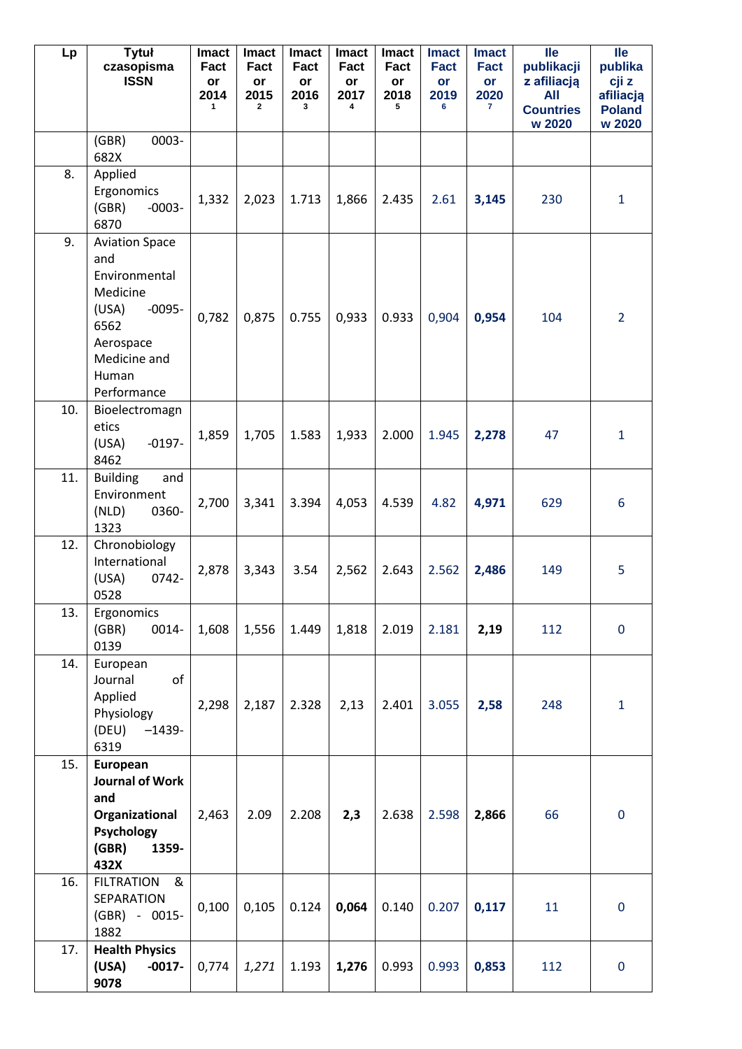| Lp  | <b>Tytuł</b><br>czasopisma<br><b>ISSN</b>                                                                                                   | Imact<br>Fact<br>or<br>2014<br>1 | <b>Imact</b><br>Fact<br>or<br>2015<br>$\overline{2}$ | <b>Imact</b><br>Fact<br>or<br>2016<br>3 | <b>Imact</b><br>Fact<br>or<br>2017<br>4 | <b>Imact</b><br>Fact<br>or<br>2018<br>5 | <b>Imact</b><br>Fact<br>or<br>2019<br>6 | <b>Imact</b><br>Fact<br>or<br>2020<br>$\mathbf{7}$ | <b>lle</b><br>publikacji<br>z afiliacją<br>All<br><b>Countries</b><br>w 2020 | <b>Ile</b><br>publika<br>cji z<br>afiliacją<br><b>Poland</b><br>w 2020 |
|-----|---------------------------------------------------------------------------------------------------------------------------------------------|----------------------------------|------------------------------------------------------|-----------------------------------------|-----------------------------------------|-----------------------------------------|-----------------------------------------|----------------------------------------------------|------------------------------------------------------------------------------|------------------------------------------------------------------------|
|     | 0003-<br>(GBR)<br>682X                                                                                                                      |                                  |                                                      |                                         |                                         |                                         |                                         |                                                    |                                                                              |                                                                        |
| 8.  | Applied<br>Ergonomics<br>(GBR)<br>$-0003-$<br>6870                                                                                          | 1,332                            | 2,023                                                | 1.713                                   | 1,866                                   | 2.435                                   | 2.61                                    | 3,145                                              | 230                                                                          | $\mathbf{1}$                                                           |
| 9.  | <b>Aviation Space</b><br>and<br>Environmental<br>Medicine<br>(USA)<br>$-0095-$<br>6562<br>Aerospace<br>Medicine and<br>Human<br>Performance | 0,782                            | 0,875                                                | 0.755                                   | 0,933                                   | 0.933                                   | 0,904                                   | 0,954                                              | 104                                                                          | $\overline{2}$                                                         |
| 10. | Bioelectromagn<br>etics<br>$-0197-$<br>(USA)<br>8462                                                                                        | 1,859                            | 1,705                                                | 1.583                                   | 1,933                                   | 2.000                                   | 1.945                                   | 2,278                                              | 47                                                                           | $\mathbf{1}$                                                           |
| 11. | <b>Building</b><br>and<br>Environment<br>(NLD)<br>0360-<br>1323                                                                             | 2,700                            | 3,341                                                | 3.394                                   | 4,053                                   | 4.539                                   | 4.82                                    | 4,971                                              | 629                                                                          | 6                                                                      |
| 12. | Chronobiology<br>International<br>(USA)<br>0742-<br>0528                                                                                    | 2,878                            | 3,343                                                | 3.54                                    | 2,562                                   | 2.643                                   | 2.562                                   | 2,486                                              | 149                                                                          | 5                                                                      |
| 13. | Ergonomics<br>(GBR)<br>0014-<br>0139                                                                                                        | 1,608                            | 1,556                                                | 1.449                                   | 1,818                                   | 2.019                                   | 2.181                                   | 2,19                                               | 112                                                                          | $\mathbf 0$                                                            |
| 14. | European<br>of<br>Journal<br>Applied<br>Physiology<br>(DEU)<br>$-1439-$<br>6319                                                             | 2,298                            | 2,187                                                | 2.328                                   | 2,13                                    | 2.401                                   | 3.055                                   | 2,58                                               | 248                                                                          | $\mathbf{1}$                                                           |
| 15. | European<br>Journal of Work<br>and<br>Organizational<br>Psychology<br>(GBR)<br>1359-<br>432X                                                | 2,463                            | 2.09                                                 | 2.208                                   | 2,3                                     | 2.638                                   | 2.598                                   | 2,866                                              | 66                                                                           | $\mathbf 0$                                                            |
| 16. | &<br><b>FILTRATION</b><br>SEPARATION<br>(GBR) - 0015-<br>1882                                                                               | 0,100                            | 0,105                                                | 0.124                                   | 0,064                                   | 0.140                                   | 0.207                                   | 0,117                                              | 11                                                                           | $\mathbf 0$                                                            |
| 17. | <b>Health Physics</b><br>(USA)<br>$-0017-$<br>9078                                                                                          | 0,774                            | 1,271                                                | 1.193                                   | 1,276                                   | 0.993                                   | 0.993                                   | 0,853                                              | 112                                                                          | $\mathbf 0$                                                            |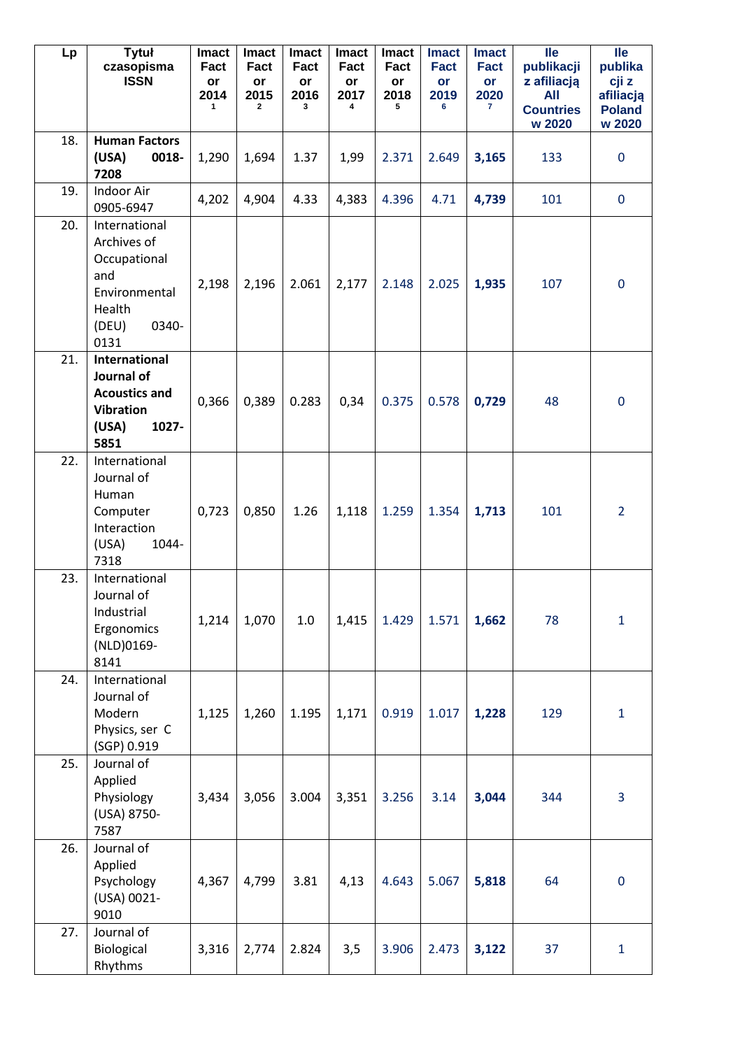| Lp  | <b>Tytuł</b><br>czasopisma<br><b>ISSN</b>                                                                | Imact<br>Fact<br>or<br>2014<br>1 | <b>Imact</b><br>Fact<br>or<br>2015<br>2 | <b>Imact</b><br>Fact<br>or<br>2016<br>3 | <b>Imact</b><br>Fact<br>or<br>2017<br>4 | <b>Imact</b><br>Fact<br>or<br>2018<br>5 | <b>Imact</b><br><b>Fact</b><br>or<br>2019<br>6 | <b>Imact</b><br><b>Fact</b><br>or<br>2020<br>$\mathbf{7}$ | <b>Ile</b><br>publikacji<br>z afiliacją<br><b>All</b><br><b>Countries</b><br>w 2020 | $\overline{\mathsf{IIe}}$<br>publika<br>cji z<br>afiliacją<br><b>Poland</b><br>w 2020 |
|-----|----------------------------------------------------------------------------------------------------------|----------------------------------|-----------------------------------------|-----------------------------------------|-----------------------------------------|-----------------------------------------|------------------------------------------------|-----------------------------------------------------------|-------------------------------------------------------------------------------------|---------------------------------------------------------------------------------------|
| 18. | <b>Human Factors</b><br>(USA)<br>0018-<br>7208                                                           | 1,290                            | 1,694                                   | 1.37                                    | 1,99                                    | 2.371                                   | 2.649                                          | 3,165                                                     | 133                                                                                 | $\mathbf 0$                                                                           |
| 19. | Indoor Air<br>0905-6947                                                                                  | 4,202                            | 4,904                                   | 4.33                                    | 4,383                                   | 4.396                                   | 4.71                                           | 4,739                                                     | 101                                                                                 | $\mathbf 0$                                                                           |
| 20. | International<br>Archives of<br>Occupational<br>and<br>Environmental<br>Health<br>(DEU)<br>0340-<br>0131 | 2,198                            | 2,196                                   | 2.061                                   | 2,177                                   | 2.148                                   | 2.025                                          | 1,935                                                     | 107                                                                                 | $\mathbf 0$                                                                           |
| 21. | <b>International</b><br>Journal of<br><b>Acoustics and</b><br><b>Vibration</b><br>1027-<br>(USA)<br>5851 | 0,366                            | 0,389                                   | 0.283                                   | 0,34                                    | 0.375                                   | 0.578                                          | 0,729                                                     | 48                                                                                  | $\mathbf 0$                                                                           |
| 22. | International<br>Journal of<br>Human<br>Computer<br>Interaction<br>1044-<br>(USA)<br>7318                | 0,723                            | 0,850                                   | 1.26                                    | 1,118                                   | 1.259                                   | 1.354                                          | 1,713                                                     | 101                                                                                 | $\overline{2}$                                                                        |
| 23. | International<br>Journal of<br>Industrial<br>Ergonomics<br>(NLD)0169-<br>8141                            | 1,214                            | 1,070                                   | $1.0\,$                                 | 1,415                                   | 1.429                                   | 1.571                                          | 1,662                                                     | 78                                                                                  | $\mathbf{1}$                                                                          |
| 24. | International<br>Journal of<br>Modern<br>Physics, ser C<br>(SGP) 0.919                                   | 1,125                            | 1,260                                   | 1.195                                   | 1,171                                   | 0.919                                   | 1.017                                          | 1,228                                                     | 129                                                                                 | $\mathbf{1}$                                                                          |
| 25. | Journal of<br>Applied<br>Physiology<br>(USA) 8750-<br>7587                                               | 3,434                            | 3,056                                   | 3.004                                   | 3,351                                   | 3.256                                   | 3.14                                           | 3,044                                                     | 344                                                                                 | $\overline{3}$                                                                        |
| 26. | Journal of<br>Applied<br>Psychology<br>(USA) 0021-<br>9010                                               | 4,367                            | 4,799                                   | 3.81                                    | 4,13                                    | 4.643                                   | 5.067                                          | 5,818                                                     | 64                                                                                  | $\mathbf 0$                                                                           |
| 27. | Journal of<br>Biological<br>Rhythms                                                                      | 3,316                            | 2,774                                   | 2.824                                   | 3,5                                     | 3.906                                   | 2.473                                          | 3,122                                                     | 37                                                                                  | $\mathbf{1}$                                                                          |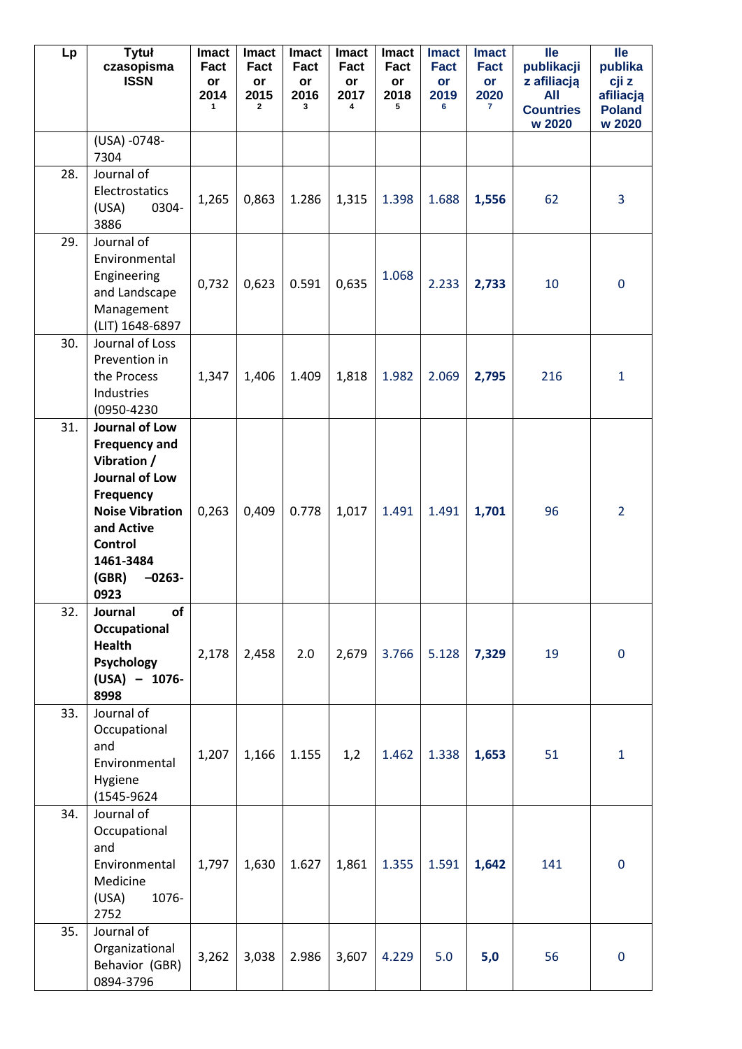| Lp  | <b>Tytuł</b><br>czasopisma<br><b>ISSN</b>                                                                                                                                                | <b>Imact</b><br>Fact<br>or<br>2014<br>1 | <b>Imact</b><br>Fact<br>or<br>2015<br>2 | <b>Imact</b><br>Fact<br>or<br>2016<br>3 | <b>Imact</b><br>Fact<br>or<br>2017<br>4 | <b>Imact</b><br>Fact<br>or<br>2018<br>5 | <b>Imact</b><br><b>Fact</b><br>or<br>2019<br>6 | <b>Imact</b><br><b>Fact</b><br>or<br>2020<br>$\mathbf{7}$ | <b>Ile</b><br>publikacji<br>z afiliacją<br>All<br><b>Countries</b><br>w 2020 | <b>Ile</b><br>publika<br>cji z<br>afiliacją<br><b>Poland</b><br>w 2020 |
|-----|------------------------------------------------------------------------------------------------------------------------------------------------------------------------------------------|-----------------------------------------|-----------------------------------------|-----------------------------------------|-----------------------------------------|-----------------------------------------|------------------------------------------------|-----------------------------------------------------------|------------------------------------------------------------------------------|------------------------------------------------------------------------|
|     | (USA) -0748-<br>7304                                                                                                                                                                     |                                         |                                         |                                         |                                         |                                         |                                                |                                                           |                                                                              |                                                                        |
| 28. | Journal of<br>Electrostatics<br>(USA)<br>0304-<br>3886                                                                                                                                   | 1,265                                   | 0,863                                   | 1.286                                   | 1,315                                   | 1.398                                   | 1.688                                          | 1,556                                                     | 62                                                                           | $\overline{3}$                                                         |
| 29. | Journal of<br>Environmental<br>Engineering<br>and Landscape<br>Management<br>(LIT) 1648-6897                                                                                             | 0,732                                   | 0,623                                   | 0.591                                   | 0,635                                   | 1.068                                   | 2.233                                          | 2,733                                                     | 10                                                                           | $\mathbf 0$                                                            |
| 30. | Journal of Loss<br>Prevention in<br>the Process<br>Industries<br>(0950-4230                                                                                                              | 1,347                                   | 1,406                                   | 1.409                                   | 1,818                                   | 1.982                                   | 2.069                                          | 2,795                                                     | 216                                                                          | $\mathbf{1}$                                                           |
| 31. | Journal of Low<br><b>Frequency and</b><br>Vibration /<br>Journal of Low<br>Frequency<br><b>Noise Vibration</b><br>and Active<br><b>Control</b><br>1461-3484<br>(GBR)<br>$-0263-$<br>0923 | 0,263                                   | 0,409                                   | 0.778                                   | 1,017                                   | 1.491                                   | 1.491                                          | 1,701                                                     | 96                                                                           | $\overline{2}$                                                         |
| 32. | of<br>Journal<br>Occupational<br><b>Health</b><br>Psychology<br>$(USA) - 1076 -$<br>8998                                                                                                 | 2,178                                   | 2,458                                   | 2.0                                     | 2,679                                   | 3.766                                   | 5.128                                          | 7,329                                                     | 19                                                                           | $\mathbf 0$                                                            |
| 33. | Journal of<br>Occupational<br>and<br>Environmental<br>Hygiene<br>(1545-9624)                                                                                                             | 1,207                                   | 1,166                                   | 1.155                                   | 1,2                                     | 1.462                                   | 1.338                                          | 1,653                                                     | 51                                                                           | $\mathbf{1}$                                                           |
| 34. | Journal of<br>Occupational<br>and<br>Environmental<br>Medicine<br>1076-<br>(USA)<br>2752                                                                                                 | 1,797                                   | 1,630                                   | 1.627                                   | 1,861                                   | 1.355                                   | 1.591                                          | 1,642                                                     | 141                                                                          | $\mathbf 0$                                                            |
| 35. | Journal of<br>Organizational<br>Behavior (GBR)<br>0894-3796                                                                                                                              | 3,262                                   | 3,038                                   | 2.986                                   | 3,607                                   | 4.229                                   | 5.0                                            | 5,0                                                       | 56                                                                           | $\mathbf 0$                                                            |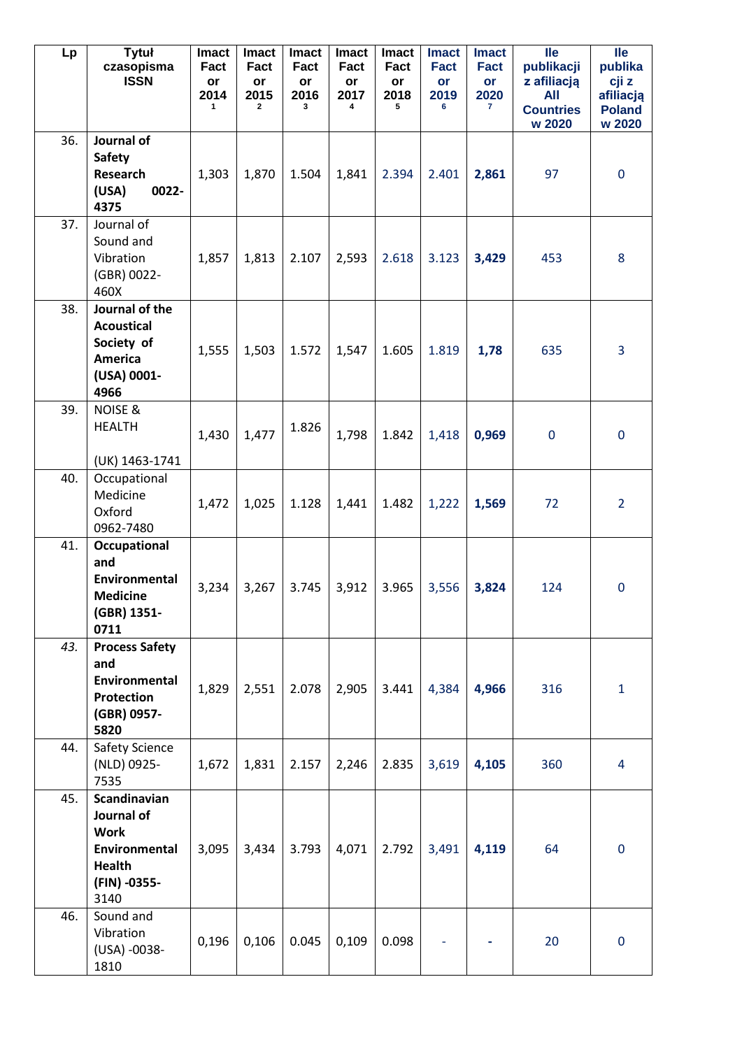| Lp  | <b>Tytuł</b><br>czasopisma<br><b>ISSN</b>                                                           | <b>Imact</b><br>Fact<br>or<br>2014<br>1 | <b>Imact</b><br>Fact<br>or<br>2015<br>$\mathbf{2}$ | Imact<br>Fact<br>or<br>2016<br>3 | <b>Imact</b><br>Fact<br>or<br>2017<br>4 | <b>Imact</b><br>Fact<br>or<br>2018<br>5 | <b>Imact</b><br>Fact<br>or<br>2019<br>6 | <b>Imact</b><br>Fact<br>or<br>2020<br>$\mathbf{7}$ | <b>lle</b><br>publikacji<br>z afiliacją<br>All<br><b>Countries</b><br>w 2020 | <b>lle</b><br>publika<br>cji z<br>afiliacją<br><b>Poland</b><br>w 2020 |
|-----|-----------------------------------------------------------------------------------------------------|-----------------------------------------|----------------------------------------------------|----------------------------------|-----------------------------------------|-----------------------------------------|-----------------------------------------|----------------------------------------------------|------------------------------------------------------------------------------|------------------------------------------------------------------------|
| 36. | Journal of<br><b>Safety</b><br>Research<br>0022-<br>(USA)<br>4375                                   | 1,303                                   | 1,870                                              | 1.504                            | 1,841                                   | 2.394                                   | 2.401                                   | 2,861                                              | 97                                                                           | $\mathbf 0$                                                            |
| 37. | Journal of<br>Sound and<br>Vibration<br>(GBR) 0022-<br>460X                                         | 1,857                                   | 1,813                                              | 2.107                            | 2,593                                   | 2.618                                   | 3.123                                   | 3,429                                              | 453                                                                          | 8                                                                      |
| 38. | Journal of the<br><b>Acoustical</b><br>Society of<br><b>America</b><br>(USA) 0001-<br>4966          | 1,555                                   | 1,503                                              | 1.572                            | 1,547                                   | 1.605                                   | 1.819                                   | 1,78                                               | 635                                                                          | 3                                                                      |
| 39. | <b>NOISE &amp;</b><br><b>HEALTH</b><br>(UK) 1463-1741                                               | 1,430                                   | 1,477                                              | 1.826                            | 1,798                                   | 1.842                                   | 1,418                                   | 0,969                                              | $\mathbf 0$                                                                  | $\mathbf 0$                                                            |
| 40. | Occupational<br>Medicine<br>Oxford<br>0962-7480                                                     | 1,472                                   | 1,025                                              | 1.128                            | 1,441                                   | 1.482                                   | 1,222                                   | 1,569                                              | 72                                                                           | $\overline{2}$                                                         |
| 41. | Occupational<br>and<br>Environmental<br><b>Medicine</b><br>(GBR) 1351-<br>0711                      | 3,234                                   | 3,267                                              | 3.745                            | 3,912                                   | 3.965                                   | 3,556                                   | 3,824                                              | 124                                                                          | $\mathbf 0$                                                            |
| 43. | <b>Process Safety</b><br>and<br>Environmental<br><b>Protection</b><br>(GBR) 0957-<br>5820           | 1,829                                   | 2,551                                              | 2.078                            | 2,905                                   | 3.441                                   | 4,384                                   | 4,966                                              | 316                                                                          | $\mathbf{1}$                                                           |
| 44. | Safety Science<br>(NLD) 0925-<br>7535                                                               | 1,672                                   | 1,831                                              | 2.157                            | 2,246                                   | 2.835                                   | 3,619                                   | 4,105                                              | 360                                                                          | $\overline{4}$                                                         |
| 45. | Scandinavian<br>Journal of<br><b>Work</b><br>Environmental<br><b>Health</b><br>(FIN) -0355-<br>3140 | 3,095                                   | 3,434                                              | 3.793                            | 4,071                                   | 2.792                                   | 3,491                                   | 4,119                                              | 64                                                                           | $\mathbf 0$                                                            |
| 46. | Sound and<br>Vibration<br>(USA) -0038-<br>1810                                                      | 0,196                                   | 0,106                                              | 0.045                            | 0,109                                   | 0.098                                   |                                         |                                                    | 20                                                                           | $\mathbf 0$                                                            |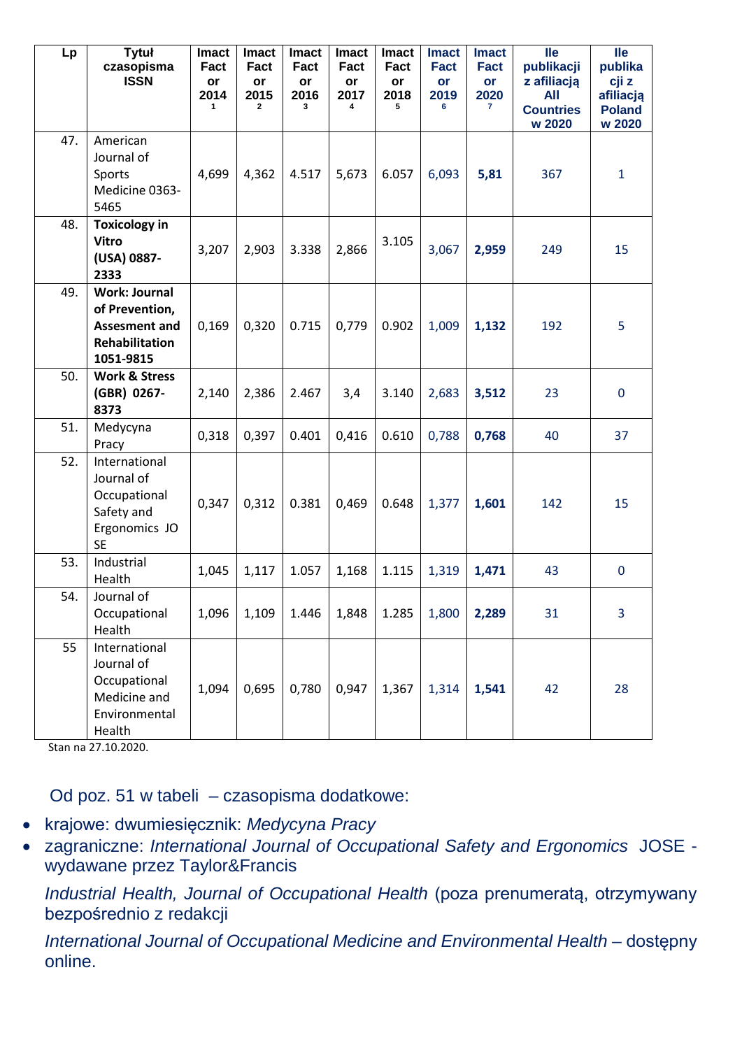| Lp  | <b>Tytuł</b><br>czasopisma<br><b>ISSN</b>                                                            | <b>Imact</b><br>Fact<br>or<br>2014<br>1 | <b>Imact</b><br>Fact<br>or<br>2015<br>$\mathbf{2}$ | <b>Imact</b><br>Fact<br>or<br>2016<br>3 | <b>Imact</b><br>Fact<br>or<br>2017<br>4 | <b>Imact</b><br>Fact<br>or<br>2018<br>5 | <b>Imact</b><br><b>Fact</b><br>or<br>2019<br>6 | <b>Imact</b><br><b>Fact</b><br>or<br>2020<br>$\mathbf{7}$ | <b>lle</b><br>publikacji<br>z afiliacją<br>All<br><b>Countries</b><br>w 2020 | <b>lle</b><br>publika<br>cji z<br>afiliacją<br><b>Poland</b><br>w 2020 |
|-----|------------------------------------------------------------------------------------------------------|-----------------------------------------|----------------------------------------------------|-----------------------------------------|-----------------------------------------|-----------------------------------------|------------------------------------------------|-----------------------------------------------------------|------------------------------------------------------------------------------|------------------------------------------------------------------------|
| 47. | American<br>Journal of<br>Sports<br>Medicine 0363-<br>5465                                           | 4,699                                   | 4,362                                              | 4.517                                   | 5,673                                   | 6.057                                   | 6,093                                          | 5,81                                                      | 367                                                                          | $\mathbf{1}$                                                           |
| 48. | <b>Toxicology in</b><br><b>Vitro</b><br>(USA) 0887-<br>2333                                          | 3,207                                   | 2,903                                              | 3.338                                   | 2,866                                   | 3.105                                   | 3,067                                          | 2,959                                                     | 249                                                                          | 15                                                                     |
| 49. | <b>Work: Journal</b><br>of Prevention,<br><b>Assesment and</b><br><b>Rehabilitation</b><br>1051-9815 | 0,169                                   | 0,320                                              | 0.715                                   | 0,779                                   | 0.902                                   | 1,009                                          | 1,132                                                     | 192                                                                          | 5                                                                      |
| 50. | <b>Work &amp; Stress</b><br>(GBR) 0267-<br>8373                                                      | 2,140                                   | 2,386                                              | 2.467                                   | 3,4                                     | 3.140                                   | 2,683                                          | 3,512                                                     | 23                                                                           | $\mathbf 0$                                                            |
| 51. | Medycyna<br>Pracy                                                                                    | 0,318                                   | 0,397                                              | 0.401                                   | 0,416                                   | 0.610                                   | 0,788                                          | 0,768                                                     | 40                                                                           | 37                                                                     |
| 52. | International<br>Journal of<br>Occupational<br>Safety and<br>Ergonomics JO<br><b>SE</b>              | 0,347                                   | 0,312                                              | 0.381                                   | 0,469                                   | 0.648                                   | 1,377                                          | 1,601                                                     | 142                                                                          | 15                                                                     |
| 53. | Industrial<br>Health                                                                                 | 1,045                                   | 1,117                                              | 1.057                                   | 1,168                                   | 1.115                                   | 1,319                                          | 1,471                                                     | 43                                                                           | $\mathbf 0$                                                            |
| 54. | Journal of<br>Occupational<br>Health                                                                 | 1,096                                   | 1,109                                              | 1.446                                   | 1,848                                   | 1.285                                   | 1,800                                          | 2,289                                                     | 31                                                                           | 3                                                                      |
| 55  | International<br>Journal of<br>Occupational<br>Medicine and<br>Environmental<br>Health               | 1,094                                   | 0,695                                              | 0,780                                   | 0,947                                   | 1,367                                   | 1,314                                          | 1,541                                                     | 42                                                                           | 28                                                                     |

Stan na 27.10.2020.

Od poz. 51 w tabeli – czasopisma dodatkowe:

- krajowe: dwumiesięcznik: *Medycyna Pracy*
- zagraniczne: *International Journal of Occupational Safety and Ergonomics* JOSE wydawane przez Taylor&Francis

*Industrial Health, Journal of Occupational Health* (poza prenumeratą, otrzymywany bezpośrednio z redakcji

*International Journal of Occupational Medicine and Environmental Health – dostępny* online.